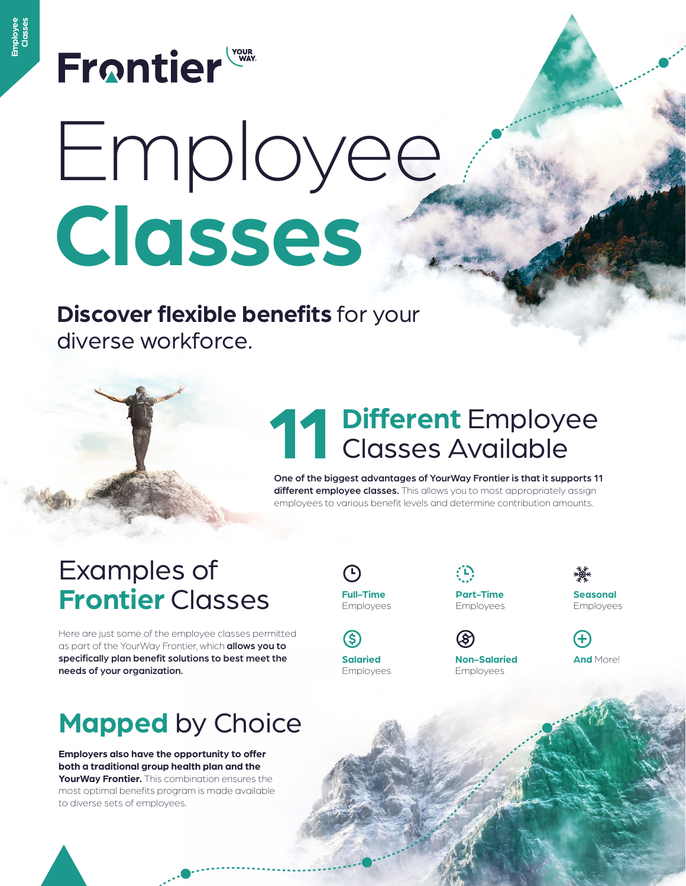### **Frontier**

# Employee **Classes**

#### **Discover flexible benefits** for your diverse workforce.

# **Different** Employee **11** Classes Available

One of the biggest advantages of YourWay Frontier is that it supports 11 different employee classes. This allows you to most appropriately assign employees to various benefit levels and determine contribution amounts.

#### Examples of **Frontier** Classes

Here are just some of the employee classes permitted as part of the YourWay Frontier, which allows you to specifically plan benefit solutions to best meet the needs of your organization.

### **Mapped** by Choice

**Employers also have the opportunity to offer both a traditional group health plan and the YourWay Frontier.** This combination ensures the most optimal benefits program is made available to diverse sets of employees.

**Full-Time**  Employees

S) **Salaried** Employees (D)

ශ

**Part-Time**  Employees

**Non-Salaried** Employees

**Seasonal**  Employees



**And** More!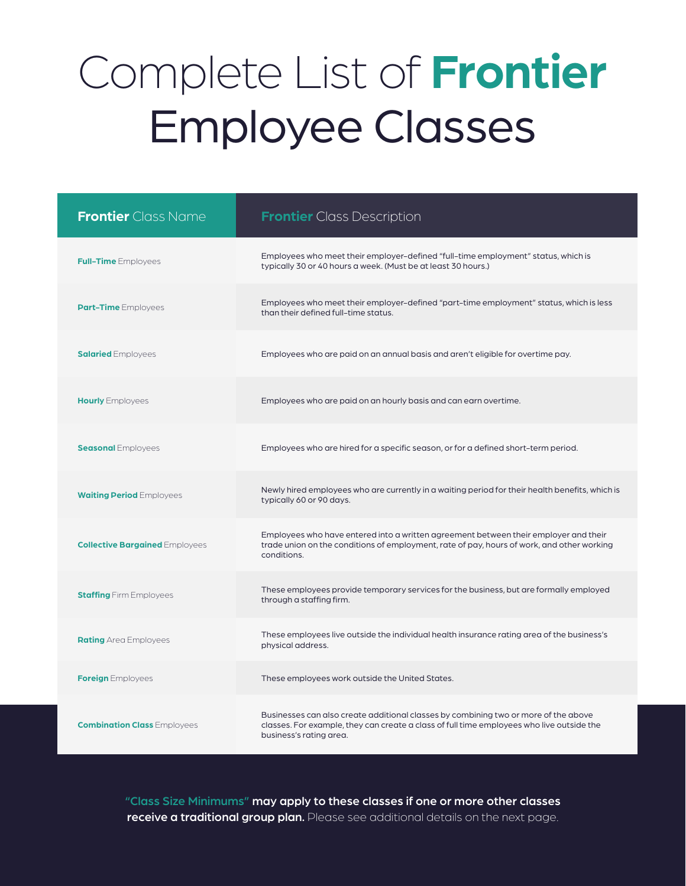### Complete List of **Frontier** Employee Classes

| <b>Frontier</b> Class Name            | <b>Frontier</b> Class Description                                                                                                                                                                           |
|---------------------------------------|-------------------------------------------------------------------------------------------------------------------------------------------------------------------------------------------------------------|
| <b>Full-Time</b> Employees            | Employees who meet their employer-defined "full-time employment" status, which is<br>typically 30 or 40 hours a week. (Must be at least 30 hours.)                                                          |
| <b>Part-Time</b> Employees            | Employees who meet their employer-defined "part-time employment" status, which is less<br>than their defined full-time status.                                                                              |
| <b>Salaried</b> Employees             | Employees who are paid on an annual basis and aren't eligible for overtime pay.                                                                                                                             |
| <b>Hourly</b> Employees               | Employees who are paid on an hourly basis and can earn overtime.                                                                                                                                            |
| <b>Seasonal Employees</b>             | Employees who are hired for a specific season, or for a defined short-term period.                                                                                                                          |
| <b>Waiting Period Employees</b>       | Newly hired employees who are currently in a waiting period for their health benefits, which is<br>typically 60 or 90 days.                                                                                 |
| <b>Collective Bargained Employees</b> | Employees who have entered into a written agreement between their employer and their<br>trade union on the conditions of employment, rate of pay, hours of work, and other working<br>conditions.           |
| <b>Staffing Firm Employees</b>        | These employees provide temporary services for the business, but are formally employed<br>through a staffing firm.                                                                                          |
| <b>Rating</b> Area Employees          | These employees live outside the individual health insurance rating area of the business's<br>physical address.                                                                                             |
| <b>Foreign</b> Employees              | These employees work outside the United States.                                                                                                                                                             |
| <b>Combination Class Employees</b>    | Businesses can also create additional classes by combining two or more of the above<br>classes. For example, they can create a class of full time employees who live outside the<br>business's rating area. |

"Class Size Minimums" may apply to these classes if one or more other classes receive a traditional group plan. Please see additional details on the next page.